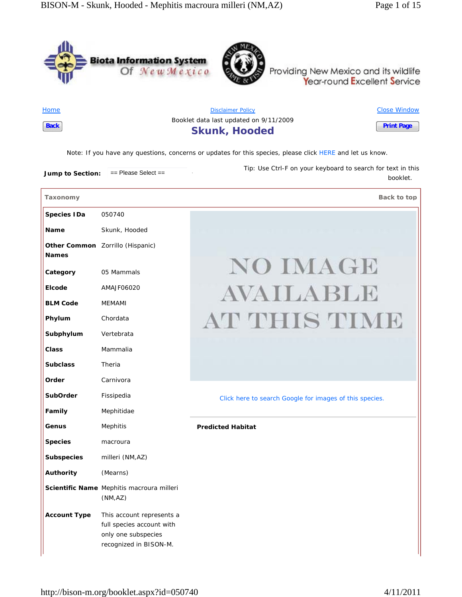



Providing New Mexico and its wildlife Year-round Excellent Service

Home **Back**

Disclaimer Policy Booklet data last updated on 9/11/2009 **Skunk, Hooded** Close Window **Print Page**

*Note*: If you have any questions, concerns or updates for this species, please click HERE and let us know.

**Jump to Section:**  $=$  Please Select == *Tip*: Use Ctrl-F on your keyboard to search for text in this

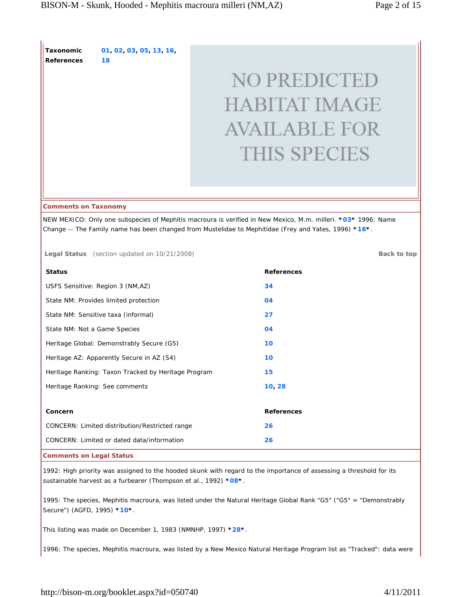**Taxonomic References 01, 02, 03, 05, 13, 16, 18**

# **NO PREDICTED HABITAT IMAGE AVAILABLE FOR THIS SPECIES**

## **Comments on Taxonomy**

NEW MEXICO: Only one subspecies of Mephitis macroura is verified in New Mexico, M.m. milleri. **\*03\*** 1996: Name Change -- The Family name has been changed from Mustelidae to Mephitidae (Frey and Yates, 1996) **\*16\***.

**Legal Status** (section updated on 10/21/2008) **Back to top Back to top** 

**Status References** USFS Sensitive: Region 3 (NM,AZ) **34** State NM: Provides limited protection **04** State NM: Sensitive taxa (informal) **27** State NM: Not a Game Species **04** Heritage Global: Demonstrably Secure (G5) **10** Heritage AZ: Apparently Secure in AZ (S4) **10** Heritage Ranking: Taxon Tracked by Heritage Program **15** Heritage Ranking: See comments **10, 28 Concern References** CONCERN: Limited distribution/Restricted range **26** CONCERN: Limited or dated data/information **26**

**Comments on Legal Status**

1992: High priority was assigned to the hooded skunk with regard to the importance of assessing a threshold for its sustainable harvest as a furbearer (Thompson et al., 1992) **\*08\***.

1995: The species, Mephitis macroura, was listed under the Natural Heritage Global Rank "G5" ("G5" = "Demonstrably Secure") (AGFD, 1995) **\*10\***.

This listing was made on December 1, 1983 (NMNHP, 1997) **\*28\***.

1996: The species, Mephitis macroura, was listed by a New Mexico Natural Heritage Program list as "Tracked": data were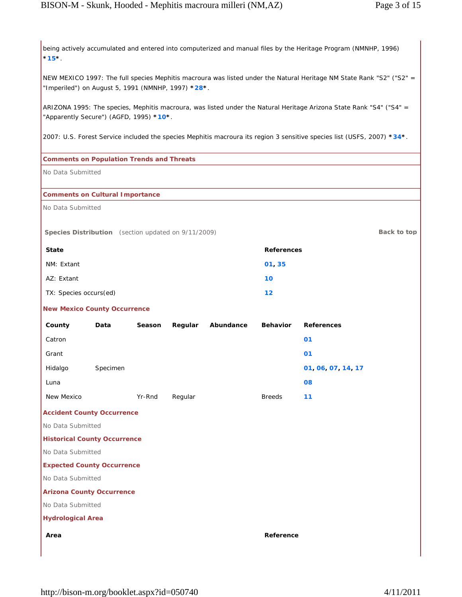being actively accumulated and entered into computerized and manual files by the Heritage Program (NMNHP, 1996) **\*15\***.

NEW MEXICO 1997: The full species Mephitis macroura was listed under the Natural Heritage NM State Rank "S2" ("S2" = "Imperiled") on August 5, 1991 (NMNHP, 1997) **\*28\***.

ARIZONA 1995: The species, Mephitis macroura, was listed under the Natural Heritage Arizona State Rank "S4" ("S4" = "Apparently Secure") (AGFD, 1995) **\*10\***.

2007: U.S. Forest Service included the species Mephitis macroura its region 3 sensitive species list (USFS, 2007) **\*34\***.

## **Comments on Population Trends and Threats**

No Data Submitted

## **Comments on Cultural Importance**

No Data Submitted

**Species Distribution** (section updated on 9/11/2009) **Back to top Back to top** 

| <b>State</b>           | References |
|------------------------|------------|
| NM: Extant             | 01, 35     |
| AZ: Extant             | 10         |
| TX: Species occurs(ed) | $12 \,$    |

## **New Mexico County Occurrence**

| County     | Data     | Season | Regular | Abundance | <b>Behavior</b> | <b>References</b> |
|------------|----------|--------|---------|-----------|-----------------|-------------------|
| Catron     |          |        |         |           |                 | 01                |
| Grant      |          |        |         |           |                 | 01                |
| Hidalgo    | Specimen |        |         |           |                 | 01 06 07 14 17    |
| Luna       |          |        |         |           |                 | 08                |
| New Mexico |          | Yr-Rnd | Regular |           | <b>Breeds</b>   | 11                |

**Accident County Occurrence**

No Data Submitted

## **Historical County Occurrence**

No Data Submitted

## **Expected County Occurrence**

No Data Submitted

## **Arizona County Occurrence**

No Data Submitted

**Hydrological Area**

**Area Reference**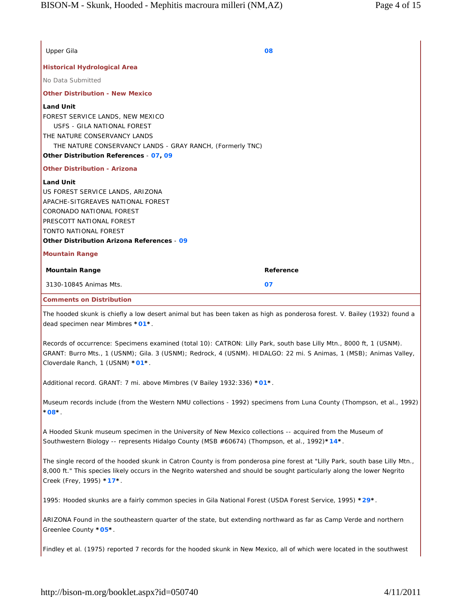| <b>Other Distribution - New Mexico</b><br>USFS - GILA NATIONAL FOREST<br>THE NATURE CONSERVANCY LANDS - GRAY RANCH, (Formerly TNC)<br><b>Other Distribution - Arizona</b><br>CORONADO NATIONAL FOREST<br>TONTO NATIONAL FOREST<br>Other Distribution Arizona References - 09<br><b>Mountain Range</b><br>Reference<br>3130-10845 Animas Mts.<br>07<br><b>Comments on Distribution</b><br>The hooded skunk is chiefly a low desert animal but has been taken as high as ponderosa forest. V. Bailey (1932) found a<br>Records of occurrence: Specimens examined (total 10): CATRON: Lilly Park, south base Lilly Mtn., 8000 ft, 1 (USNM).<br>GRANT: Burro Mts., 1 (USNM); Gila. 3 (USNM); Redrock, 4 (USNM). HIDALGO: 22 mi. S Animas, 1 (MSB); Animas Valley,<br>Additional record. GRANT: 7 mi. above Mimbres (V Bailey 1932: 336) *01*.<br>Museum records include (from the Western NMU collections - 1992) specimens from Luna County (Thompson, et al., 1992)<br>$^{\circ}08^{\star}$<br>A Hooded Skunk museum specimen in the University of New Mexico collections -- acquired from the Museum of<br>Southwestern Biology -- represents Hidalgo County (MSB #60674) (Thompson, et al., 1992)*14*.<br>The single record of the hooded skunk in Catron County is from ponderosa pine forest at "Lilly Park, south base Lilly Mtn.,<br>8,000 ft." This species likely occurs in the Negrito watershed and should be sought particularly along the lower Negrito<br>1995: Hooded skunks are a fairly common species in Gila National Forest (USDA Forest Service, 1995) *29*.<br>ARIZONA Found in the southeastern quarter of the state, but extending northward as far as Camp Verde and northern<br>Findley et al. (1975) reported 7 records for the hooded skunk in New Mexico, all of which were located in the southwest | Upper Gila                                                                                                                     | 08 |
|--------------------------------------------------------------------------------------------------------------------------------------------------------------------------------------------------------------------------------------------------------------------------------------------------------------------------------------------------------------------------------------------------------------------------------------------------------------------------------------------------------------------------------------------------------------------------------------------------------------------------------------------------------------------------------------------------------------------------------------------------------------------------------------------------------------------------------------------------------------------------------------------------------------------------------------------------------------------------------------------------------------------------------------------------------------------------------------------------------------------------------------------------------------------------------------------------------------------------------------------------------------------------------------------------------------------------------------------------------------------------------------------------------------------------------------------------------------------------------------------------------------------------------------------------------------------------------------------------------------------------------------------------------------------------------------------------------------------------------------------------------------------------------------------------------------------------------|--------------------------------------------------------------------------------------------------------------------------------|----|
|                                                                                                                                                                                                                                                                                                                                                                                                                                                                                                                                                                                                                                                                                                                                                                                                                                                                                                                                                                                                                                                                                                                                                                                                                                                                                                                                                                                                                                                                                                                                                                                                                                                                                                                                                                                                                                | <b>Historical Hydrological Area</b>                                                                                            |    |
|                                                                                                                                                                                                                                                                                                                                                                                                                                                                                                                                                                                                                                                                                                                                                                                                                                                                                                                                                                                                                                                                                                                                                                                                                                                                                                                                                                                                                                                                                                                                                                                                                                                                                                                                                                                                                                | No Data Submitted                                                                                                              |    |
|                                                                                                                                                                                                                                                                                                                                                                                                                                                                                                                                                                                                                                                                                                                                                                                                                                                                                                                                                                                                                                                                                                                                                                                                                                                                                                                                                                                                                                                                                                                                                                                                                                                                                                                                                                                                                                |                                                                                                                                |    |
|                                                                                                                                                                                                                                                                                                                                                                                                                                                                                                                                                                                                                                                                                                                                                                                                                                                                                                                                                                                                                                                                                                                                                                                                                                                                                                                                                                                                                                                                                                                                                                                                                                                                                                                                                                                                                                | <b>Land Unit</b><br>FOREST SERVICE LANDS, NEW MEXICO<br>THE NATURE CONSERVANCY LANDS<br>Other Distribution References - 07, 09 |    |
|                                                                                                                                                                                                                                                                                                                                                                                                                                                                                                                                                                                                                                                                                                                                                                                                                                                                                                                                                                                                                                                                                                                                                                                                                                                                                                                                                                                                                                                                                                                                                                                                                                                                                                                                                                                                                                |                                                                                                                                |    |
|                                                                                                                                                                                                                                                                                                                                                                                                                                                                                                                                                                                                                                                                                                                                                                                                                                                                                                                                                                                                                                                                                                                                                                                                                                                                                                                                                                                                                                                                                                                                                                                                                                                                                                                                                                                                                                | <b>Land Unit</b><br>US FOREST SERVICE LANDS, ARIZONA<br>APACHE-SITGREAVES NATIONAL FOREST<br>PRESCOTT NATIONAL FOREST          |    |
|                                                                                                                                                                                                                                                                                                                                                                                                                                                                                                                                                                                                                                                                                                                                                                                                                                                                                                                                                                                                                                                                                                                                                                                                                                                                                                                                                                                                                                                                                                                                                                                                                                                                                                                                                                                                                                | <b>Mountain Range</b>                                                                                                          |    |
|                                                                                                                                                                                                                                                                                                                                                                                                                                                                                                                                                                                                                                                                                                                                                                                                                                                                                                                                                                                                                                                                                                                                                                                                                                                                                                                                                                                                                                                                                                                                                                                                                                                                                                                                                                                                                                |                                                                                                                                |    |
|                                                                                                                                                                                                                                                                                                                                                                                                                                                                                                                                                                                                                                                                                                                                                                                                                                                                                                                                                                                                                                                                                                                                                                                                                                                                                                                                                                                                                                                                                                                                                                                                                                                                                                                                                                                                                                |                                                                                                                                |    |
|                                                                                                                                                                                                                                                                                                                                                                                                                                                                                                                                                                                                                                                                                                                                                                                                                                                                                                                                                                                                                                                                                                                                                                                                                                                                                                                                                                                                                                                                                                                                                                                                                                                                                                                                                                                                                                |                                                                                                                                |    |
|                                                                                                                                                                                                                                                                                                                                                                                                                                                                                                                                                                                                                                                                                                                                                                                                                                                                                                                                                                                                                                                                                                                                                                                                                                                                                                                                                                                                                                                                                                                                                                                                                                                                                                                                                                                                                                | dead specimen near Mimbres *01*.                                                                                               |    |
|                                                                                                                                                                                                                                                                                                                                                                                                                                                                                                                                                                                                                                                                                                                                                                                                                                                                                                                                                                                                                                                                                                                                                                                                                                                                                                                                                                                                                                                                                                                                                                                                                                                                                                                                                                                                                                | Cloverdale Ranch, 1 (USNM) *01*.                                                                                               |    |
|                                                                                                                                                                                                                                                                                                                                                                                                                                                                                                                                                                                                                                                                                                                                                                                                                                                                                                                                                                                                                                                                                                                                                                                                                                                                                                                                                                                                                                                                                                                                                                                                                                                                                                                                                                                                                                |                                                                                                                                |    |
|                                                                                                                                                                                                                                                                                                                                                                                                                                                                                                                                                                                                                                                                                                                                                                                                                                                                                                                                                                                                                                                                                                                                                                                                                                                                                                                                                                                                                                                                                                                                                                                                                                                                                                                                                                                                                                |                                                                                                                                |    |
|                                                                                                                                                                                                                                                                                                                                                                                                                                                                                                                                                                                                                                                                                                                                                                                                                                                                                                                                                                                                                                                                                                                                                                                                                                                                                                                                                                                                                                                                                                                                                                                                                                                                                                                                                                                                                                |                                                                                                                                |    |
|                                                                                                                                                                                                                                                                                                                                                                                                                                                                                                                                                                                                                                                                                                                                                                                                                                                                                                                                                                                                                                                                                                                                                                                                                                                                                                                                                                                                                                                                                                                                                                                                                                                                                                                                                                                                                                | Creek (Frey, 1995) *17*.                                                                                                       |    |
|                                                                                                                                                                                                                                                                                                                                                                                                                                                                                                                                                                                                                                                                                                                                                                                                                                                                                                                                                                                                                                                                                                                                                                                                                                                                                                                                                                                                                                                                                                                                                                                                                                                                                                                                                                                                                                |                                                                                                                                |    |
|                                                                                                                                                                                                                                                                                                                                                                                                                                                                                                                                                                                                                                                                                                                                                                                                                                                                                                                                                                                                                                                                                                                                                                                                                                                                                                                                                                                                                                                                                                                                                                                                                                                                                                                                                                                                                                | Greenlee County *05*.                                                                                                          |    |
|                                                                                                                                                                                                                                                                                                                                                                                                                                                                                                                                                                                                                                                                                                                                                                                                                                                                                                                                                                                                                                                                                                                                                                                                                                                                                                                                                                                                                                                                                                                                                                                                                                                                                                                                                                                                                                |                                                                                                                                |    |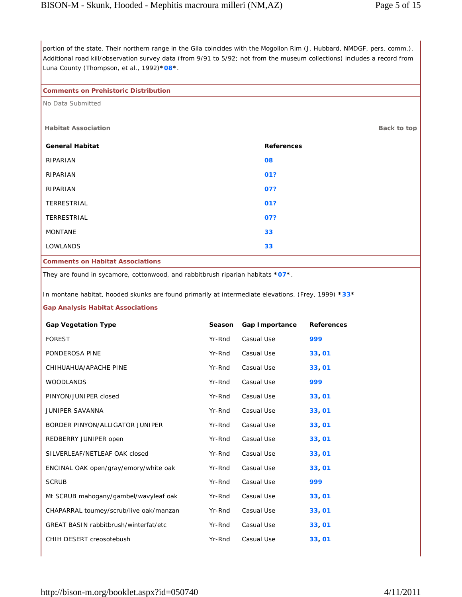portion of the state. Their northern range in the Gila coincides with the Mogollon Rim (J. Hubbard, NMDGF, pers. comm.). Additional road kill/observation survey data (from 9/91 to 5/92; not from the museum collections) includes a record from Luna County (Thompson, et al., 1992)**\*08\***.

# **Comments on Prehistoric Distribution**

No Data Submitted

| <b>Habitat Association</b> | Back to top       |
|----------------------------|-------------------|
| <b>General Habitat</b>     | <b>References</b> |
| RIPARIAN                   | 08                |
| RIPARIAN                   | 01?               |
| RIPARIAN                   | 07?               |
| <b>TERRESTRIAL</b>         | 01?               |
| TERRESTRIAL                | 07?               |
| <b>MONTANE</b>             | 33                |
| <b>LOWLANDS</b>            | 33                |

**Comments on Habitat Associations**

They are found in sycamore, cottonwood, and rabbitbrush riparian habitats **\*07\***.

In montane habitat, hooded skunks are found primarily at intermediate elevations. (Frey, 1999) **\*33\***

# **Gap Analysis Habitat Associations**

| <b>Gap Vegetation Type</b>                   | Season | Gap Importance | <b>References</b> |
|----------------------------------------------|--------|----------------|-------------------|
| <b>FOREST</b>                                | Yr-Rnd | Casual Use     | 999               |
| PONDEROSA PINE                               | Yr-Rnd | Casual Use     | 33,01             |
| CHIHUAHUA/APACHE PINE                        | Yr-Rnd | Casual Use     | 33,01             |
| <b>WOODLANDS</b>                             | Yr-Rnd | Casual Use     | 999               |
| PINYON/JUNIPER closed                        | Yr-Rnd | Casual Use     | 33,01             |
| <b>JUNIPER SAVANNA</b>                       | Yr-Rnd | Casual Use     | 33,01             |
| BORDER PINYON/ALLIGATOR JUNIPER              | Yr-Rnd | Casual Use     | 33,01             |
| REDBERRY JUNIPER open                        | Yr-Rnd | Casual Use     | 33,01             |
| SILVERLEAF/NETLEAF OAK closed                | Yr-Rnd | Casual Use     | 33,01             |
| ENCINAL OAK open/gray/emory/white oak        | Yr-Rnd | Casual Use     | 33,01             |
| <b>SCRUB</b>                                 | Yr-Rnd | Casual Use     | 999               |
| Mt SCRUB mahogany/gambel/wavyleaf oak        | Yr-Rnd | Casual Use     | 33,01             |
| CHAPARRAL toumey/scrub/live oak/manzan       | Yr-Rnd | Casual Use     | 33,01             |
| <b>GREAT BASIN rabbitbrush/winterfat/etc</b> | Yr-Rnd | Casual Use     | 33,01             |
| CHIH DESERT creosotebush                     | Yr-Rnd | Casual Use     | 33,01             |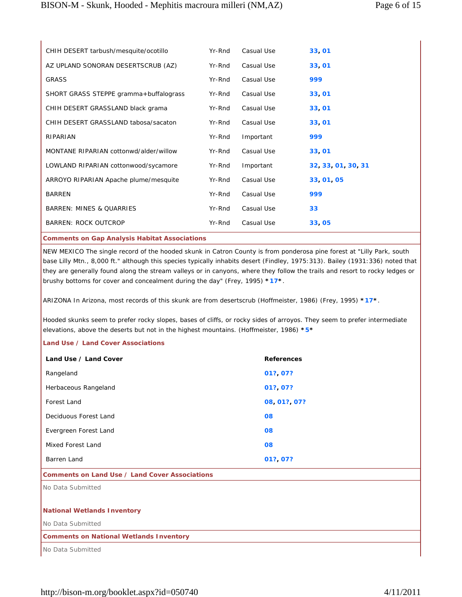| CHIH DESERT tarbush/mesquite/ocotillo                | Yr-Rnd | Casual Use | 33, 01             |
|------------------------------------------------------|--------|------------|--------------------|
| AZ UPLAND SONORAN DESERTSCRUB (AZ)                   | Yr-Rnd | Casual Use | 33,01              |
| <b>GRASS</b>                                         | Yr-Rnd | Casual Use | 999                |
| SHORT GRASS STEPPE gramma+buffalograss               | Yr-Rnd | Casual Use | 33, 01             |
| CHIH DESERT GRASSLAND black grama                    | Yr-Rnd | Casual Use | 33, 01             |
| CHIH DESERT GRASSLAND tabosa/sacaton                 | Yr-Rnd | Casual Use | 33, 01             |
| RIPARIAN                                             | Yr-Rnd | Important  | 999                |
| MONTANE RIPARIAN cottonwd/alder/willow               | Yr-Rnd | Casual Use | 33, 01             |
| LOWLAND RIPARIAN cottonwood/sycamore                 | Yr-Rnd | Important  | 32, 33, 01, 30, 31 |
| ARROYO RIPARIAN Apache plume/mesquite                | Yr-Rnd | Casual Use | 33 01 05           |
| <b>BARREN</b>                                        | Yr-Rnd | Casual Use | 999                |
| <b>BARREN: MINES &amp; QUARRIES</b>                  | Yr-Rnd | Casual Use | 33                 |
| <b>BARREN: ROCK OUTCROP</b>                          | Yr-Rnd | Casual Use | 33,05              |
| <b>Comments on Gap Analysis Habitat Associations</b> |        |            |                    |

NEW MEXICO The single record of the hooded skunk in Catron County is from ponderosa pine forest at "Lilly Park, south base Lilly Mtn., 8,000 ft." although this species typically inhabits desert (Findley, 1975:313). Bailey (1931:336) noted that they are generally found along the stream valleys or in canyons, where they follow the trails and resort to rocky ledges or brushy bottoms for cover and concealment during the day" (Frey, 1995) **\*17\***.

ARIZONA In Arizona, most records of this skunk are from desertscrub (Hoffmeister, 1986) (Frey, 1995) **\*17\***.

Hooded skunks seem to prefer rocky slopes, bases of cliffs, or rocky sides of arroyos. They seem to prefer intermediate elevations, above the deserts but not in the highest mountains. (Hoffmeister, 1986) **\*5\***

# **Land Use / Land Cover Associations**

| Land Use / Land Cover | <b>References</b> |
|-----------------------|-------------------|
| Rangeland             | 01? 07?           |
| Herbaceous Rangeland  | 01? 07?           |
| Forest Land           | 08 01? 07?        |
| Deciduous Forest Land | 08                |
| Evergreen Forest Land | 08                |
| Mixed Forest Land     | 08                |
| Barren Land           | 01?, 07?          |

## **Comments on Land Use / Land Cover Associations**

No Data Submitted

# **National Wetlands Inventory**

No Data Submitted

# **Comments on National Wetlands Inventory**

No Data Submitted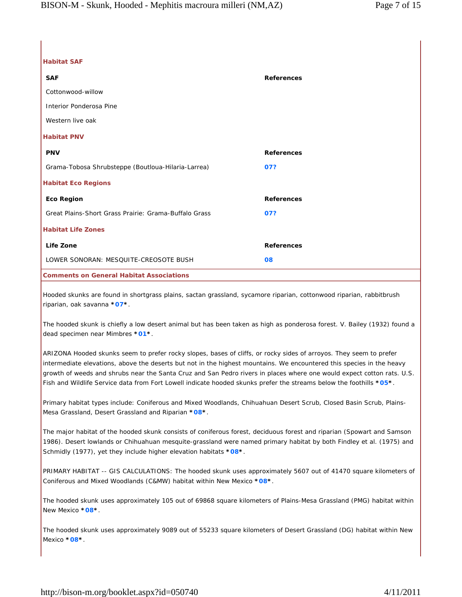| <b>Habitat SAF</b> |
|--------------------|
| <b>SAF</b>         |
| Cottonwood-willow  |

Interior Ponderosa Pine

Western live oak

# **Habitat PNV**

| <b>PNV</b>                                            | <b>References</b> |
|-------------------------------------------------------|-------------------|
| Grama-Tobosa Shrubsteppe (Boutloua-Hilaria-Larrea)    | 07?               |
| <b>Habitat Eco Regions</b>                            |                   |
| <b>Eco Region</b>                                     | <b>References</b> |
| Great Plains-Short Grass Prairie: Grama-Buffalo Grass | 07?               |
| <b>Habitat Life Zones</b>                             |                   |
| Life Zone                                             | <b>References</b> |
| LOWER SONORAN: MESQUITE-CREOSOTE BUSH                 | 08                |
|                                                       |                   |

**Comments on General Habitat Associations**

Hooded skunks are found in shortgrass plains, sactan grassland, sycamore riparian, cottonwood riparian, rabbitbrush riparian, oak savanna **\*07\***.

The hooded skunk is chiefly a low desert animal but has been taken as high as ponderosa forest. V. Bailey (1932) found a dead specimen near Mimbres **\*01\***.

**SAF References**

ARIZONA Hooded skunks seem to prefer rocky slopes, bases of cliffs, or rocky sides of arroyos. They seem to prefer intermediate elevations, above the deserts but not in the highest mountains. We encountered this species in the heavy growth of weeds and shrubs near the Santa Cruz and San Pedro rivers in places where one would expect cotton rats. U.S. Fish and Wildlife Service data from Fort Lowell indicate hooded skunks prefer the streams below the foothills **\*05\***.

Primary habitat types include: Coniferous and Mixed Woodlands, Chihuahuan Desert Scrub, Closed Basin Scrub, Plains-Mesa Grassland, Desert Grassland and Riparian **\*08\***.

The major habitat of the hooded skunk consists of coniferous forest, deciduous forest and riparian (Spowart and Samson 1986). Desert lowlands or Chihuahuan mesquite-grassland were named primary habitat by both Findley et al. (1975) and Schmidly (1977), yet they include higher elevation habitats **\*08\***.

PRIMARY HABITAT -- GIS CALCULATIONS: The hooded skunk uses approximately 5607 out of 41470 square kilometers of Coniferous and Mixed Woodlands (C&MW) habitat within New Mexico **\*08\***.

The hooded skunk uses approximately 105 out of 69868 square kilometers of Plains-Mesa Grassland (PMG) habitat within New Mexico **\*08\***.

The hooded skunk uses approximately 9089 out of 55233 square kilometers of Desert Grassland (DG) habitat within New Mexico **\*08\***.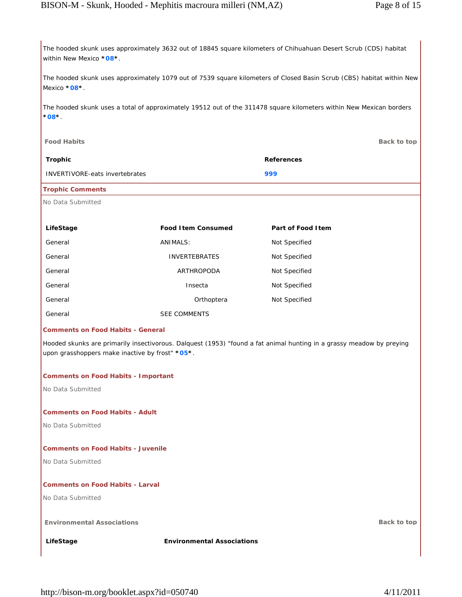The hooded skunk uses approximately 3632 out of 18845 square kilometers of Chihuahuan Desert Scrub (CDS) habitat within New Mexico **\*08\***.

The hooded skunk uses approximately 1079 out of 7539 square kilometers of Closed Basin Scrub (CBS) habitat within New Mexico **\*08\***.

The hooded skunk uses a total of approximately 19512 out of the 311478 square kilometers within New Mexican borders **\*08\***.

| <b>Food Habits</b>                                                                                                                                                      |                           |                    | Back to top |
|-------------------------------------------------------------------------------------------------------------------------------------------------------------------------|---------------------------|--------------------|-------------|
| <b>Trophic</b>                                                                                                                                                          |                           | <b>References</b>  |             |
| <b>INVERTIVORE-eats invertebrates</b>                                                                                                                                   |                           | 999                |             |
| <b>Trophic Comments</b>                                                                                                                                                 |                           |                    |             |
| No Data Submitted                                                                                                                                                       |                           |                    |             |
|                                                                                                                                                                         |                           |                    |             |
| LifeStage                                                                                                                                                               | <b>Food Item Consumed</b> | Part of Food I tem |             |
| General                                                                                                                                                                 | ANIMALS:                  | Not Specified      |             |
| General                                                                                                                                                                 | <b>INVERTEBRATES</b>      | Not Specified      |             |
| General                                                                                                                                                                 | ARTHROPODA                | Not Specified      |             |
| General                                                                                                                                                                 | Insecta                   | Not Specified      |             |
| General                                                                                                                                                                 | Orthoptera                | Not Specified      |             |
| General                                                                                                                                                                 | <b>SEE COMMENTS</b>       |                    |             |
| <b>Comments on Food Habits - General</b>                                                                                                                                |                           |                    |             |
| Hooded skunks are primarily insectivorous. Dalquest (1953) "found a fat animal hunting in a grassy meadow by preying<br>upon grasshoppers make inactive by frost" *05*. |                           |                    |             |

## **Comments on Food Habits - Important**

No Data Submitted

# **Comments on Food Habits - Adult**

No Data Submitted

# **Comments on Food Habits - Juvenile**

No Data Submitted

# **Comments on Food Habits - Larval**

No Data Submitted

# **Environmental Associations Back to top**

**LifeStage Environmental Associations**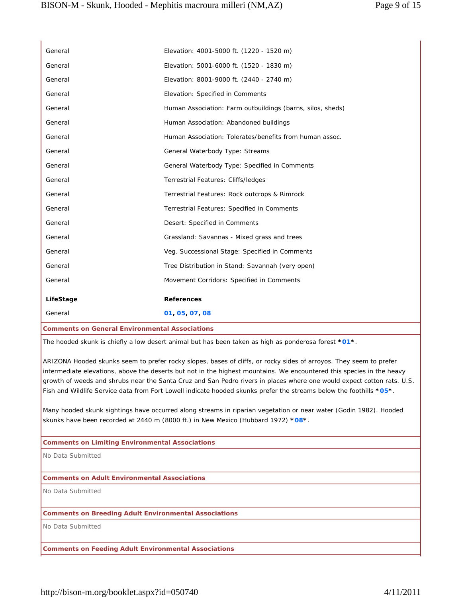| General                                                      | Elevation: 4001-5000 ft. (1220 - 1520 m)                                                                                                                                                                                                        |
|--------------------------------------------------------------|-------------------------------------------------------------------------------------------------------------------------------------------------------------------------------------------------------------------------------------------------|
| General                                                      | Elevation: 5001-6000 ft. (1520 - 1830 m)                                                                                                                                                                                                        |
| General                                                      | Elevation: 8001-9000 ft. (2440 - 2740 m)                                                                                                                                                                                                        |
| General                                                      | Elevation: Specified in Comments                                                                                                                                                                                                                |
| General                                                      | Human Association: Farm outbuildings (barns, silos, sheds)                                                                                                                                                                                      |
| General                                                      | Human Association: Abandoned buildings                                                                                                                                                                                                          |
| General                                                      | Human Association: Tolerates/benefits from human assoc.                                                                                                                                                                                         |
| General                                                      | General Waterbody Type: Streams                                                                                                                                                                                                                 |
| General                                                      | General Waterbody Type: Specified in Comments                                                                                                                                                                                                   |
| General                                                      | Terrestrial Features: Cliffs/ledges                                                                                                                                                                                                             |
| General                                                      | Terrestrial Features: Rock outcrops & Rimrock                                                                                                                                                                                                   |
| General                                                      | Terrestrial Features: Specified in Comments                                                                                                                                                                                                     |
| General                                                      | Desert: Specified in Comments                                                                                                                                                                                                                   |
| General                                                      | Grassland: Savannas - Mixed grass and trees                                                                                                                                                                                                     |
| General                                                      | Veg. Successional Stage: Specified in Comments                                                                                                                                                                                                  |
| General                                                      | Tree Distribution in Stand: Savannah (very open)                                                                                                                                                                                                |
| General                                                      | Movement Corridors: Specified in Comments                                                                                                                                                                                                       |
| LifeStage                                                    | <b>References</b>                                                                                                                                                                                                                               |
| General                                                      | 01, 05, 07, 08                                                                                                                                                                                                                                  |
|                                                              |                                                                                                                                                                                                                                                 |
| <b>Comments on General Environmental Associations</b>        |                                                                                                                                                                                                                                                 |
|                                                              | The hooded skunk is chiefly a low desert animal but has been taken as high as ponderosa forest *01*.                                                                                                                                            |
|                                                              | ARIZONA Hooded skunks seem to prefer rocky slopes, bases of cliffs, or rocky sides of arroyos. They seem to prefer                                                                                                                              |
|                                                              | intermediate elevations, above the deserts but not in the highest mountains. We encountered this species in the heavy<br>growth of weeds and shrubs near the Santa Cruz and San Pedro rivers in places where one would expect cotton rats. U.S. |
|                                                              | Fish and Wildlife Service data from Fort Lowell indicate hooded skunks prefer the streams below the foothills *05*.                                                                                                                             |
|                                                              |                                                                                                                                                                                                                                                 |
|                                                              | Many hooded skunk sightings have occurred along streams in riparian vegetation or near water (Godin 1982). Hooded<br>skunks have been recorded at 2440 m (8000 ft.) in New Mexico (Hubbard 1972) * $08$ *.                                      |
|                                                              |                                                                                                                                                                                                                                                 |
| <b>Comments on Limiting Environmental Associations</b>       |                                                                                                                                                                                                                                                 |
| No Data Submitted                                            |                                                                                                                                                                                                                                                 |
| <b>Comments on Adult Environmental Associations</b>          |                                                                                                                                                                                                                                                 |
| No Data Submitted                                            |                                                                                                                                                                                                                                                 |
|                                                              |                                                                                                                                                                                                                                                 |
| <b>Comments on Breeding Adult Environmental Associations</b> |                                                                                                                                                                                                                                                 |
| No Data Submitted                                            |                                                                                                                                                                                                                                                 |
| <b>Comments on Feeding Adult Environmental Associations</b>  |                                                                                                                                                                                                                                                 |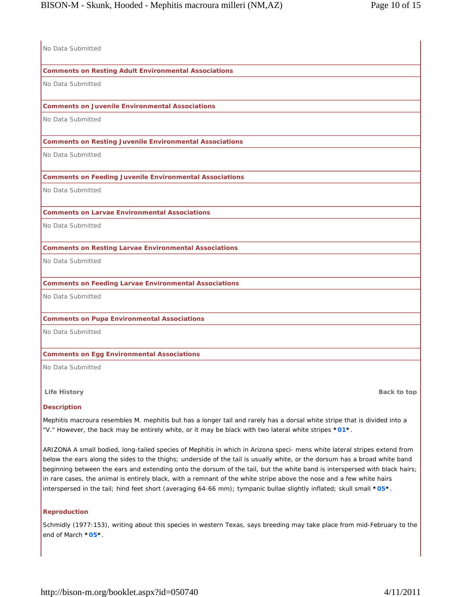| No Data Submitted                                                                                                                                                                                                                                                                                                                                                                                                                                                                                                                                                                                                                     |
|---------------------------------------------------------------------------------------------------------------------------------------------------------------------------------------------------------------------------------------------------------------------------------------------------------------------------------------------------------------------------------------------------------------------------------------------------------------------------------------------------------------------------------------------------------------------------------------------------------------------------------------|
| <b>Comments on Resting Adult Environmental Associations</b>                                                                                                                                                                                                                                                                                                                                                                                                                                                                                                                                                                           |
| No Data Submitted                                                                                                                                                                                                                                                                                                                                                                                                                                                                                                                                                                                                                     |
| <b>Comments on Juvenile Environmental Associations</b>                                                                                                                                                                                                                                                                                                                                                                                                                                                                                                                                                                                |
| No Data Submitted                                                                                                                                                                                                                                                                                                                                                                                                                                                                                                                                                                                                                     |
| <b>Comments on Resting Juvenile Environmental Associations</b>                                                                                                                                                                                                                                                                                                                                                                                                                                                                                                                                                                        |
| No Data Submitted                                                                                                                                                                                                                                                                                                                                                                                                                                                                                                                                                                                                                     |
| <b>Comments on Feeding Juvenile Environmental Associations</b>                                                                                                                                                                                                                                                                                                                                                                                                                                                                                                                                                                        |
| No Data Submitted                                                                                                                                                                                                                                                                                                                                                                                                                                                                                                                                                                                                                     |
| <b>Comments on Larvae Environmental Associations</b>                                                                                                                                                                                                                                                                                                                                                                                                                                                                                                                                                                                  |
| No Data Submitted                                                                                                                                                                                                                                                                                                                                                                                                                                                                                                                                                                                                                     |
| <b>Comments on Resting Larvae Environmental Associations</b>                                                                                                                                                                                                                                                                                                                                                                                                                                                                                                                                                                          |
| No Data Submitted                                                                                                                                                                                                                                                                                                                                                                                                                                                                                                                                                                                                                     |
| <b>Comments on Feeding Larvae Environmental Associations</b>                                                                                                                                                                                                                                                                                                                                                                                                                                                                                                                                                                          |
| No Data Submitted                                                                                                                                                                                                                                                                                                                                                                                                                                                                                                                                                                                                                     |
| <b>Comments on Pupa Environmental Associations</b>                                                                                                                                                                                                                                                                                                                                                                                                                                                                                                                                                                                    |
| No Data Submitted                                                                                                                                                                                                                                                                                                                                                                                                                                                                                                                                                                                                                     |
| <b>Comments on Egg Environmental Associations</b>                                                                                                                                                                                                                                                                                                                                                                                                                                                                                                                                                                                     |
| No Data Submitted                                                                                                                                                                                                                                                                                                                                                                                                                                                                                                                                                                                                                     |
| <b>Life History</b><br>Back to top                                                                                                                                                                                                                                                                                                                                                                                                                                                                                                                                                                                                    |
| <b>Description</b>                                                                                                                                                                                                                                                                                                                                                                                                                                                                                                                                                                                                                    |
| Mephitis macroura resembles M. mephitis but has a longer tail and rarely has a dorsal white stripe that is divided into a<br>"V." However, the back may be entirely white, or it may be black with two lateral white stripes *01*.                                                                                                                                                                                                                                                                                                                                                                                                    |
| ARIZONA A small bodied, long-tailed species of Mephitis in which in Arizona speci- mens white lateral stripes extend from<br>below the ears along the sides to the thighs; underside of the tail is usually white, or the dorsum has a broad white band<br>beginning between the ears and extending onto the dorsum of the tail, but the white band is interspersed with black hairs;<br>in rare cases, the animal is entirely black, with a remnant of the white stripe above the nose and a few white hairs<br>interspersed in the tail; hind feet short (averaging 64-66 mm); tympanic bullae slightly inflated; skull small *05*. |

## **Reproduction**

Schmidly (1977:153), writing about this species in western Texas, says breeding may take place from mid-February to the end of March **\*05\***.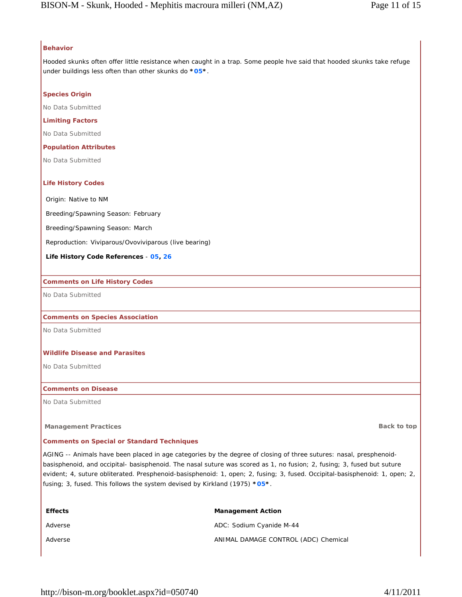# **Behavior**

Hooded skunks often offer little resistance when caught in a trap. Some people hve said that hooded skunks take refuge under buildings less often than other skunks do **\*05\***.

# **Species Origin**

No Data Submitted

## **Limiting Factors**

No Data Submitted

## **Population Attributes**

No Data Submitted

## **Life History Codes**

Origin: Native to NM

Breeding/Spawning Season: February

Breeding/Spawning Season: March

Reproduction: Viviparous/Ovoviviparous (live bearing)

## **Life History Code References** - **05, 26**

## **Comments on Life History Codes**

No Data Submitted

## **Comments on Species Association**

No Data Submitted

## **Wildlife Disease and Parasites**

No Data Submitted

## **Comments on Disease**

No Data Submitted

## **Management Practices Back to top Back to top Back to top Back to top Back to top Back to top Back to top**

## **Comments on Special or Standard Techniques**

AGING -- Animals have been placed in age categories by the degree of closing of three sutures: nasal, presphenoidbasisphenoid, and occipital- basisphenoid. The nasal suture was scored as 1, no fusion; 2, fusing; 3, fused but suture evident; 4, suture obliterated. Presphenoid-basisphenoid: 1, open; 2, fusing; 3, fused. Occipital-basisphenoid: 1, open; 2, fusing; 3, fused. This follows the system devised by Kirkland (1975) **\*05\***.

| <b>Effects</b> | <b>Management Action</b>             |
|----------------|--------------------------------------|
| Adverse        | ADC: Sodium Cyanide M-44             |
| Adverse        | ANIMAL DAMAGE CONTROL (ADC) Chemical |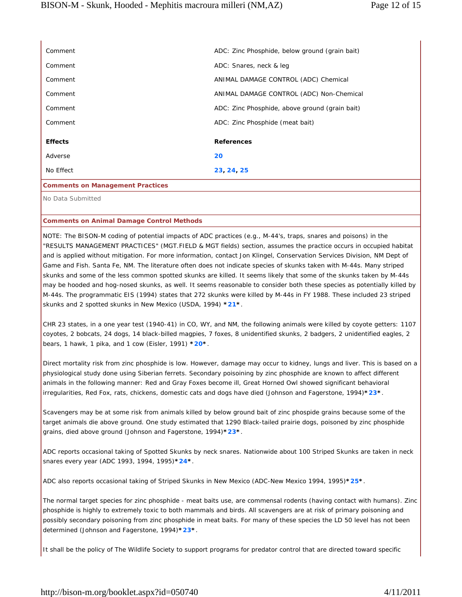| Comment                                 | ADC: Zinc Phosphide, below ground (grain bait) |
|-----------------------------------------|------------------------------------------------|
| Comment                                 | ADC: Snares, neck & leg                        |
| Comment                                 | ANIMAL DAMAGE CONTROL (ADC) Chemical           |
| Comment                                 | ANIMAL DAMAGE CONTROL (ADC) Non-Chemical       |
| Comment                                 | ADC: Zinc Phosphide, above ground (grain bait) |
| Comment                                 | ADC: Zinc Phosphide (meat bait)                |
| <b>Effects</b>                          | <b>References</b>                              |
| Adverse                                 | 20                                             |
| No Effect                               | 23, 24, 25                                     |
| <b>Comments on Management Practices</b> |                                                |
| No Data Submitted                       |                                                |

**Comments on Animal Damage Control Methods**

NOTE: The BISON-M coding of potential impacts of ADC practices (e.g., M-44's, traps, snares and poisons) in the "RESULTS MANAGEMENT PRACTICES" (MGT.FIELD & MGT fields) section, assumes the practice occurs in occupied habitat and is applied without mitigation. For more information, contact Jon Klingel, Conservation Services Division, NM Dept of Game and Fish. Santa Fe, NM. The literature often does not indicate species of skunks taken with M-44s. Many striped skunks and some of the less common spotted skunks are killed. It seems likely that some of the skunks taken by M-44s may be hooded and hog-nosed skunks, as well. It seems reasonable to consider both these species as potentially killed by M-44s. The programmatic EIS (1994) states that 272 skunks were killed by M-44s in FY 1988. These included 23 striped skunks and 2 spotted skunks in New Mexico (USDA, 1994) **\*21\***.

CHR 23 states, in a one year test (1940-41) in CO, WY, and NM, the following animals were killed by coyote getters: 1107 coyotes, 2 bobcats, 24 dogs, 14 black-billed magpies, 7 foxes, 8 unidentified skunks, 2 badgers, 2 unidentified eagles, 2 bears, 1 hawk, 1 pika, and 1 cow (Eisler, 1991) **\*20\***.

Direct mortality risk from zinc phosphide is low. However, damage may occur to kidney, lungs and liver. This is based on a physiological study done using Siberian ferrets. Secondary poisoining by zinc phosphide are known to affect different animals in the following manner: Red and Gray Foxes become ill, Great Horned Owl showed significant behavioral irregularities, Red Fox, rats, chickens, domestic cats and dogs have died (Johnson and Fagerstone, 1994)**\*23\***.

Scavengers may be at some risk from animals killed by below ground bait of zinc phospide grains because some of the target animals die above ground. One study estimated that 1290 Black-tailed prairie dogs, poisoned by zinc phosphide grains, died above ground (Johnson and Fagerstone, 1994)**\*23\***.

ADC reports occasional taking of Spotted Skunks by neck snares. Nationwide about 100 Striped Skunks are taken in neck snares every year (ADC 1993, 1994, 1995)**\*24\***.

ADC also reports occasional taking of Striped Skunks in New Mexico (ADC-New Mexico 1994, 1995)**\*25\***.

The normal target species for zinc phosphide - meat baits use, are commensal rodents (having contact with humans). Zinc phosphide is highly to extremely toxic to both mammals and birds. All scavengers are at risk of primary poisoning and possibly secondary poisoning from zinc phosphide in meat baits. For many of these species the LD 50 level has not been determined (Johnson and Fagerstone, 1994)**\*23\***.

It shall be the policy of The Wildlife Society to support programs for predator control that are directed toward specific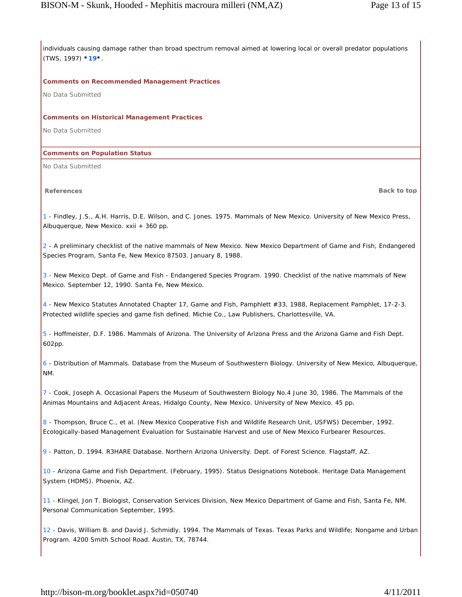individuals causing damage rather than broad spectrum removal aimed at lowering local or overall predator populations (TWS, 1997) **\*19\***.

## **Comments on Recommended Management Practices**

No Data Submitted

#### **Comments on Historical Management Practices**

No Data Submitted

## **Comments on Population Status**

No Data Submitted

**References Back to top**

1 - Findley, J.S., A.H. Harris, D.E. Wilson, and C. Jones. 1975. Mammals of New Mexico. University of New Mexico Press, Albuquerque, New Mexico. xxii + 360 pp.

2 - A preliminary checklist of the native mammals of New Mexico. New Mexico Department of Game and Fish, Endangered Species Program, Santa Fe, New Mexico 87503. January 8, 1988.

3 - New Mexico Dept. of Game and Fish - Endangered Species Program. 1990. Checklist of the native mammals of New Mexico. September 12, 1990. Santa Fe, New Mexico.

4 - New Mexico Statutes Annotated Chapter 17, Game and Fish, Pamphlett #33, 1988, Replacement Pamphlet, 17-2-3. Protected wildlife species and game fish defined. Michie Co., Law Publishers, Charlottesville, VA.

5 - Hoffmeister, D.F. 1986. Mammals of Arizona. The University of Arizona Press and the Arizona Game and Fish Dept. 602pp.

6 - Distribution of Mammals. Database from the Museum of Southwestern Biology. University of New Mexico, Albuquerque, NM.

7 - Cook, Joseph A. Occasional Papers the Museum of Southwestern Biology No.4 June 30, 1986. The Mammals of the Animas Mountains and Adjacent Areas, Hidalgo County, New Mexico. University of New Mexico. 45 pp.

8 - Thompson, Bruce C., et al. (New Mexico Cooperative Fish and Wildlife Research Unit, USFWS) December, 1992. Ecologically-based Management Evaluation for Sustainable Harvest and use of New Mexico Furbearer Resources.

9 - Patton, D. 1994. R3HARE Database. Northern Arizona University. Dept. of Forest Science. Flagstaff, AZ.

10 - Arizona Game and Fish Department. (February, 1995). Status Designations Notebook. Heritage Data Management System (HDMS). Phoenix, AZ.

11 - Klingel, Jon T. Biologist, Conservation Services Division, New Mexico Department of Game and Fish, Santa Fe, NM. Personal Communication September, 1995.

12 - Davis, William B. and David J. Schmidly. 1994. The Mammals of Texas. Texas Parks and Wildlife; Nongame and Urban Program. 4200 Smith School Road. Austin, TX, 78744.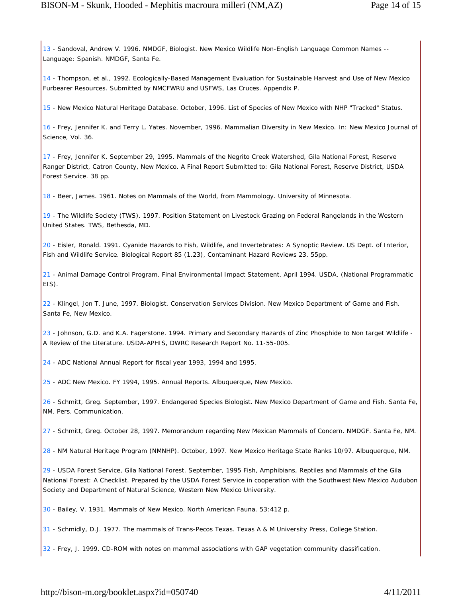13 - Sandoval, Andrew V. 1996. NMDGF, Biologist. New Mexico Wildlife Non-English Language Common Names --Language: Spanish. NMDGF, Santa Fe.

14 - Thompson, et al., 1992. Ecologically-Based Management Evaluation for Sustainable Harvest and Use of New Mexico Furbearer Resources. Submitted by NMCFWRU and USFWS, Las Cruces. Appendix P.

15 - New Mexico Natural Heritage Database. October, 1996. List of Species of New Mexico with NHP "Tracked" Status.

16 - Frey, Jennifer K. and Terry L. Yates. November, 1996. Mammalian Diversity in New Mexico. In: New Mexico Journal of Science, Vol. 36.

17 - Frey, Jennifer K. September 29, 1995. Mammals of the Negrito Creek Watershed, Gila National Forest, Reserve Ranger District, Catron County, New Mexico. A Final Report Submitted to: Gila National Forest, Reserve District, USDA Forest Service. 38 pp.

18 - Beer, James. 1961. Notes on Mammals of the World, from Mammology. University of Minnesota.

19 - The Wildlife Society (TWS). 1997. Position Statement on Livestock Grazing on Federal Rangelands in the Western United States. TWS, Bethesda, MD.

20 - Eisler, Ronald. 1991. Cyanide Hazards to Fish, Wildlife, and Invertebrates: A Synoptic Review. US Dept. of Interior, Fish and Wildlife Service. Biological Report 85 (1.23), Contaminant Hazard Reviews 23. 55pp.

21 - Animal Damage Control Program. Final Environmental Impact Statement. April 1994. USDA. (National Programmatic EIS).

22 - Klingel, Jon T. June, 1997. Biologist. Conservation Services Division. New Mexico Department of Game and Fish. Santa Fe, New Mexico.

23 - Johnson, G.D. and K.A. Fagerstone. 1994. Primary and Secondary Hazards of Zinc Phosphide to Non target Wildlife - A Review of the Literature. USDA-APHIS, DWRC Research Report No. 11-55-005.

24 - ADC National Annual Report for fiscal year 1993, 1994 and 1995.

25 - ADC New Mexico. FY 1994, 1995. Annual Reports. Albuquerque, New Mexico.

26 - Schmitt, Greg. September, 1997. Endangered Species Biologist. New Mexico Department of Game and Fish. Santa Fe, NM. Pers. Communication.

27 - Schmitt, Greg. October 28, 1997. Memorandum regarding New Mexican Mammals of Concern. NMDGF. Santa Fe, NM.

28 - NM Natural Heritage Program (NMNHP). October, 1997. New Mexico Heritage State Ranks 10/97. Albuquerque, NM.

29 - USDA Forest Service, Gila National Forest. September, 1995 Fish, Amphibians, Reptiles and Mammals of the Gila National Forest: A Checklist. Prepared by the USDA Forest Service in cooperation with the Southwest New Mexico Audubon Society and Department of Natural Science, Western New Mexico University.

30 - Bailey, V. 1931. Mammals of New Mexico. North American Fauna. 53:412 p.

31 - Schmidly, D.J. 1977. The mammals of Trans-Pecos Texas. Texas A & M University Press, College Station.

32 - Frey, J. 1999. CD-ROM with notes on mammal associations with GAP vegetation community classification.